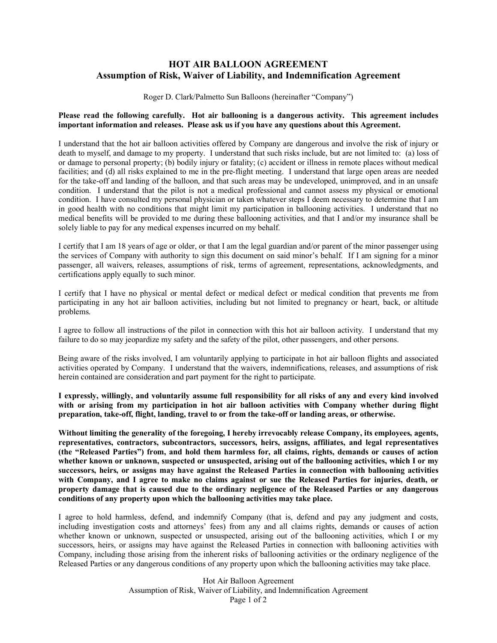## **HOT AIR BALLOON AGREEMENT Assumption of Risk, Waiver of Liability, and Indemnification Agreement**

Roger D. Clark/Palmetto Sun Balloons (hereinafter "Company")

## **Please read the following carefully. Hot air ballooning is a dangerous activity. This agreement includes important information and releases. Please ask us if you have any questions about this Agreement.**

I understand that the hot air balloon activities offered by Company are dangerous and involve the risk of injury or death to myself, and damage to my property. I understand that such risks include, but are not limited to: (a) loss of or damage to personal property; (b) bodily injury or fatality; (c) accident or illness in remote places without medical facilities; and (d) all risks explained to me in the pre-flight meeting. I understand that large open areas are needed for the take-off and landing of the balloon, and that such areas may be undeveloped, unimproved, and in an unsafe condition. I understand that the pilot is not a medical professional and cannot assess my physical or emotional condition. I have consulted my personal physician or taken whatever steps I deem necessary to determine that I am in good health with no conditions that might limit my participation in ballooning activities. I understand that no medical benefits will be provided to me during these ballooning activities, and that I and/or my insurance shall be solely liable to pay for any medical expenses incurred on my behalf.

I certify that I am 18 years of age or older, or that I am the legal guardian and/or parent of the minor passenger using the services of Company with authority to sign this document on said minor's behalf. If I am signing for a minor passenger, all waivers, releases, assumptions of risk, terms of agreement, representations, acknowledgments, and certifications apply equally to such minor.

I certify that I have no physical or mental defect or medical defect or medical condition that prevents me from participating in any hot air balloon activities, including but not limited to pregnancy or heart, back, or altitude problems.

I agree to follow all instructions of the pilot in connection with this hot air balloon activity. I understand that my failure to do so may jeopardize my safety and the safety of the pilot, other passengers, and other persons.

Being aware of the risks involved, I am voluntarily applying to participate in hot air balloon flights and associated activities operated by Company. I understand that the waivers, indemnifications, releases, and assumptions of risk herein contained are consideration and part payment for the right to participate.

**I expressly, willingly, and voluntarily assume full responsibility for all risks of any and every kind involved with or arising from my participation in hot air balloon activities with Company whether during flight preparation, take-off, flight, landing, travel to or from the take-off or landing areas, or otherwise.**

**Without limiting the generality of the foregoing, I hereby irrevocably release Company, its employees, agents, representatives, contractors, subcontractors, successors, heirs, assigns, affiliates, and legal representatives (the "Released Parties") from, and hold them harmless for, all claims, rights, demands or causes of action whether known or unknown, suspected or unsuspected, arising out of the ballooning activities, which I or my successors, heirs, or assigns may have against the Released Parties in connection with ballooning activities**  with Company, and I agree to make no claims against or sue the Released Parties for injuries, death, or **property damage that is caused due to the ordinary negligence of the Released Parties or any dangerous conditions of any property upon which the ballooning activities may take place.** 

I agree to hold harmless, defend, and indemnify Company (that is, defend and pay any judgment and costs, including investigation costs and attorneys' fees) from any and all claims rights, demands or causes of action whether known or unknown, suspected or unsuspected, arising out of the ballooning activities, which I or my successors, heirs, or assigns may have against the Released Parties in connection with ballooning activities with Company, including those arising from the inherent risks of ballooning activities or the ordinary negligence of the Released Parties or any dangerous conditions of any property upon which the ballooning activities may take place.